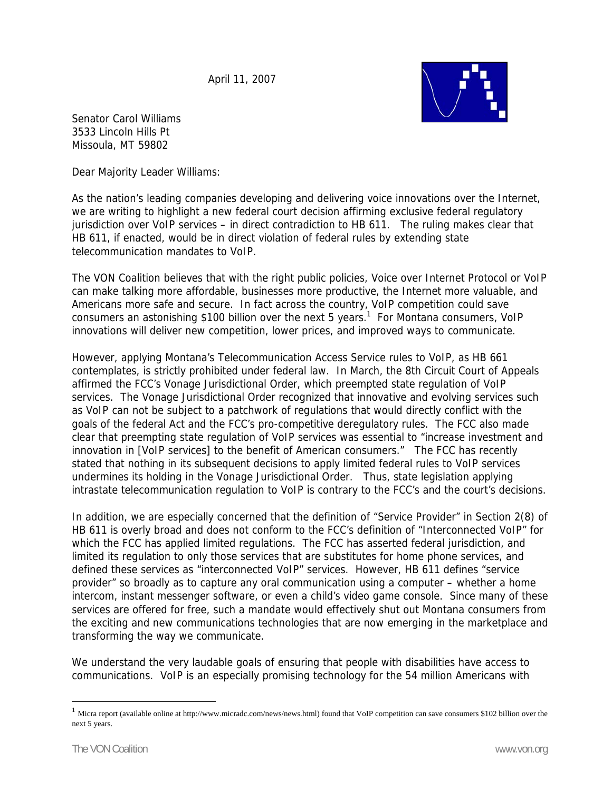April 11, 2007



Senator Carol Williams 3533 Lincoln Hills Pt Missoula, MT 59802

Dear Majority Leader Williams:

As the nation's leading companies developing and delivering voice innovations over the Internet, we are writing to highlight a new federal court decision affirming exclusive federal regulatory jurisdiction over VoIP services – in direct contradiction to HB 611. The ruling makes clear that HB 611, if enacted, would be in direct violation of federal rules by extending state telecommunication mandates to VoIP.

The VON Coalition believes that with the right public policies, Voice over Internet Protocol or VoIP can make talking more affordable, businesses more productive, the Internet more valuable, and Americans more safe and secure. In fact across the country, VoIP competition could save consumers an astonishing \$100 billion over the next 5 years.<sup>1</sup> For Montana consumers, VoIP innovations will deliver new competition, lower prices, and improved ways to communicate.

However, applying Montana's Telecommunication Access Service rules to VoIP, as HB 661 contemplates, is strictly prohibited under federal law. In March, the 8th Circuit Court of Appeals affirmed the FCC's Vonage Jurisdictional Order, which preempted state regulation of VoIP services. The Vonage Jurisdictional Order recognized that innovative and evolving services such as VoIP can not be subject to a patchwork of regulations that would directly conflict with the goals of the federal Act and the FCC's pro-competitive deregulatory rules. The FCC also made clear that preempting state regulation of VoIP services was essential to "increase investment and innovation in [VoIP services] to the benefit of American consumers." The FCC has recently stated that nothing in its subsequent decisions to apply limited federal rules to VoIP services undermines its holding in the Vonage Jurisdictional Order. Thus, state legislation applying intrastate telecommunication regulation to VoIP is contrary to the FCC's and the court's decisions.

In addition, we are especially concerned that the definition of "Service Provider" in Section 2(8) of HB 611 is overly broad and does not conform to the FCC's definition of "Interconnected VoIP" for which the FCC has applied limited regulations. The FCC has asserted federal jurisdiction, and limited its regulation to only those services that are substitutes for home phone services, and defined these services as "interconnected VoIP" services. However, HB 611 defines "service provider" so broadly as to capture any oral communication using a computer – whether a home intercom, instant messenger software, or even a child's video game console. Since many of these services are offered for free, such a mandate would effectively shut out Montana consumers from the exciting and new communications technologies that are now emerging in the marketplace and transforming the way we communicate.

We understand the very laudable goals of ensuring that people with disabilities have access to communications. VoIP is an especially promising technology for the 54 million Americans with

 $\overline{a}$ 

 $1$  Micra report (available online at http://www.micradc.com/news/news.html) found that VoIP competition can save consumers \$102 billion over the next 5 years.